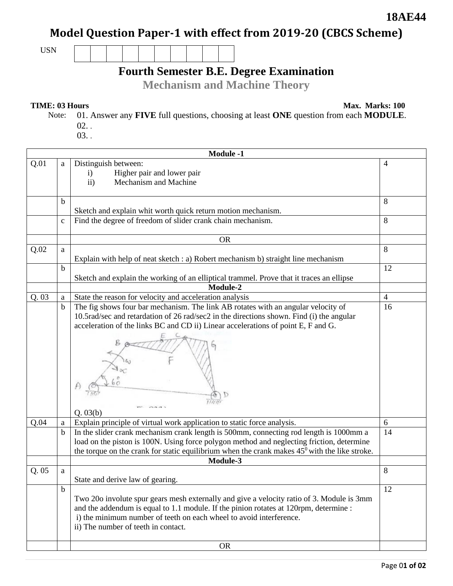### **18AE44**

# **Model Question Paper-1 with effect from 2019-20 (CBCS Scheme)**

USN

# **Fourth Semester B.E. Degree Examination**

**Mechanism and Machine Theory** 

#### **TIME: 03 Hours Max. Marks: 100**

Note: 01. Answer any **FIVE** full questions, choosing at least **ONE** question from each **MODULE**. 02. .

03. .

|       | <b>Module -1</b> |                                                                                                                                                                                                                                                                                                                                           |                |  |  |
|-------|------------------|-------------------------------------------------------------------------------------------------------------------------------------------------------------------------------------------------------------------------------------------------------------------------------------------------------------------------------------------|----------------|--|--|
| Q.01  | a                | Distinguish between:<br>Higher pair and lower pair<br>$\mathbf{i}$<br>$\mathbf{ii}$<br>Mechanism and Machine                                                                                                                                                                                                                              | 4              |  |  |
|       | b                | Sketch and explain whit worth quick return motion mechanism.                                                                                                                                                                                                                                                                              | 8              |  |  |
|       | $\mathbf C$      | Find the degree of freedom of slider crank chain mechanism.                                                                                                                                                                                                                                                                               | 8              |  |  |
|       |                  | <b>OR</b>                                                                                                                                                                                                                                                                                                                                 |                |  |  |
| Q.02  | a                | Explain with help of neat sketch : a) Robert mechanism b) straight line mechanism                                                                                                                                                                                                                                                         | 8              |  |  |
|       | b                | Sketch and explain the working of an elliptical trammel. Prove that it traces an ellipse<br>Module-2                                                                                                                                                                                                                                      | 12             |  |  |
| Q. 03 |                  |                                                                                                                                                                                                                                                                                                                                           | $\overline{4}$ |  |  |
|       | a<br>$\mathbf b$ | State the reason for velocity and acceleration analysis<br>The fig shows four bar mechanism. The link AB rotates with an angular velocity of<br>10.5rad/sec and retardation of 26 rad/sec2 in the directions shown. Find (i) the angular<br>acceleration of the links BC and CD ii) Linear accelerations of point E, F and G.<br>Q. 03(b) | 16             |  |  |
| Q.04  | a                | Explain principle of virtual work application to static force analysis.                                                                                                                                                                                                                                                                   | 6              |  |  |
|       | $\mathbf b$      | In the slider crank mechanism crank length is 500mm, connecting rod length is 1000mm a<br>load on the piston is 100N. Using force polygon method and neglecting friction, determine<br>the torque on the crank for static equilibrium when the crank makes $45^{\circ}$ with the like stroke.<br>Module-3                                 | 14             |  |  |
| Q. 05 | a                |                                                                                                                                                                                                                                                                                                                                           | 8              |  |  |
|       |                  | State and derive law of gearing.                                                                                                                                                                                                                                                                                                          |                |  |  |
|       | $\mathbf b$      | Two 20o involute spur gears mesh externally and give a velocity ratio of 3. Module is 3mm<br>and the addendum is equal to 1.1 module. If the pinion rotates at 120rpm, determine :<br>i) the minimum number of teeth on each wheel to avoid interference.<br>ii) The number of teeth in contact.<br><b>OR</b>                             | 12             |  |  |
|       |                  |                                                                                                                                                                                                                                                                                                                                           |                |  |  |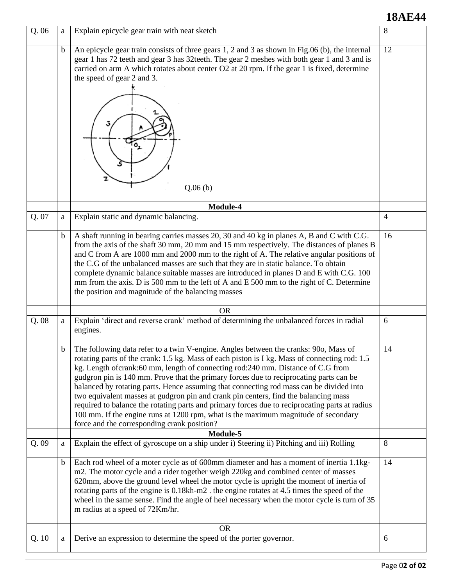## **18AE44**

| Q.06  | a           | Explain epicycle gear train with neat sketch                                                                                                                                                                                                                                                                                                                                                                                                                                                                                                                                                                                                                                                                                                                                                 | 8              |
|-------|-------------|----------------------------------------------------------------------------------------------------------------------------------------------------------------------------------------------------------------------------------------------------------------------------------------------------------------------------------------------------------------------------------------------------------------------------------------------------------------------------------------------------------------------------------------------------------------------------------------------------------------------------------------------------------------------------------------------------------------------------------------------------------------------------------------------|----------------|
|       | $\mathbf b$ | An epicycle gear train consists of three gears 1, 2 and 3 as shown in Fig.06 (b), the internal<br>gear 1 has 72 teeth and gear 3 has 32 teeth. The gear 2 meshes with both gear 1 and 3 and is<br>carried on arm A which rotates about center O2 at 20 rpm. If the gear 1 is fixed, determine<br>the speed of gear 2 and 3.<br>Q.06(b)                                                                                                                                                                                                                                                                                                                                                                                                                                                       | 12             |
|       |             | Module-4                                                                                                                                                                                                                                                                                                                                                                                                                                                                                                                                                                                                                                                                                                                                                                                     |                |
| Q. 07 | a           | Explain static and dynamic balancing.                                                                                                                                                                                                                                                                                                                                                                                                                                                                                                                                                                                                                                                                                                                                                        | $\overline{4}$ |
|       | $\mathbf b$ | A shaft running in bearing carries masses 20, 30 and 40 kg in planes A, B and C with C.G.<br>from the axis of the shaft 30 mm, 20 mm and 15 mm respectively. The distances of planes B<br>and C from A are 1000 mm and 2000 mm to the right of A. The relative angular positions of<br>the C.G of the unbalanced masses are such that they are in static balance. To obtain<br>complete dynamic balance suitable masses are introduced in planes D and E with C.G. 100<br>mm from the axis. D is 500 mm to the left of A and E 500 mm to the right of C. Determine<br>the position and magnitude of the balancing masses                                                                                                                                                                     | 16             |
|       |             | <b>OR</b>                                                                                                                                                                                                                                                                                                                                                                                                                                                                                                                                                                                                                                                                                                                                                                                    |                |
| Q.08  | a           | Explain 'direct and reverse crank' method of determining the unbalanced forces in radial<br>engines.                                                                                                                                                                                                                                                                                                                                                                                                                                                                                                                                                                                                                                                                                         | 6              |
|       | b           | The following data refer to a twin V-engine. Angles between the cranks: 90o, Mass of<br>rotating parts of the crank: 1.5 kg. Mass of each piston is I kg. Mass of connecting rod: 1.5<br>kg. Length of crank:60 mm, length of connecting rod:240 mm. Distance of C.G from<br>gudgron pin is 140 mm. Prove that the primary forces due to reciprocating parts can be<br>balanced by rotating parts. Hence assuming that connecting rod mass can be divided into<br>two equivalent masses at gudgron pin and crank pin centers, find the balancing mass<br>required to balance the rotating parts and primary forces due to reciprocating parts at radius<br>100 mm. If the engine runs at 1200 rpm, what is the maximum magnitude of secondary<br>force and the corresponding crank position? | 14             |
|       |             | Module-5                                                                                                                                                                                                                                                                                                                                                                                                                                                                                                                                                                                                                                                                                                                                                                                     |                |
| Q.09  | a           | Explain the effect of gyroscope on a ship under i) Steering ii) Pitching and iii) Rolling                                                                                                                                                                                                                                                                                                                                                                                                                                                                                                                                                                                                                                                                                                    | 8              |
|       | $\mathbf b$ | Each rod wheel of a moter cycle as of 600mm diameter and has a moment of inertia 1.1kg-<br>m2. The motor cycle and a rider together weigh 220kg and combined center of masses<br>620mm, above the ground level wheel the motor cycle is upright the moment of inertia of<br>rotating parts of the engine is 0.18kh-m2. the engine rotates at 4.5 times the speed of the<br>wheel in the same sense. Find the angle of heel necessary when the motor cycle is turn of 35<br>m radius at a speed of 72Km/hr.                                                                                                                                                                                                                                                                                   | 14             |
|       |             | <b>OR</b>                                                                                                                                                                                                                                                                                                                                                                                                                                                                                                                                                                                                                                                                                                                                                                                    |                |
| Q.10  | a           | Derive an expression to determine the speed of the porter governor.                                                                                                                                                                                                                                                                                                                                                                                                                                                                                                                                                                                                                                                                                                                          | 6              |